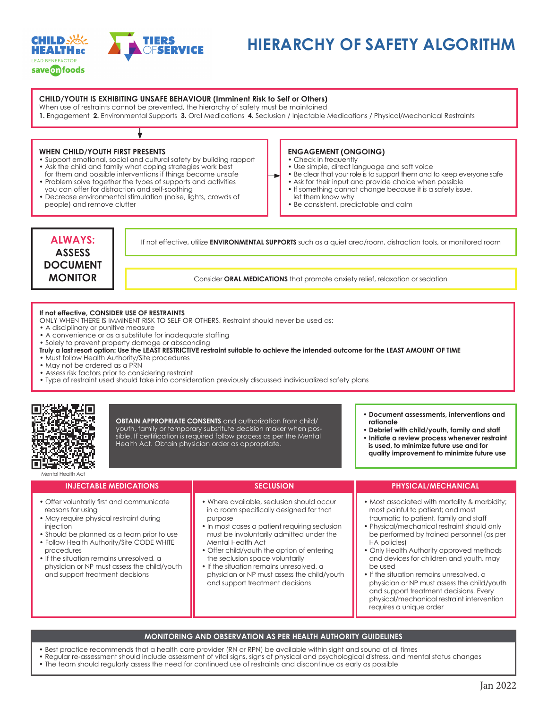

# **HIERARCHY OF SAFETY ALGORITHM**

### **CHILD/YOUTH IS EXHIBITING UNSAFE BEHAVIOUR (Imminent Risk to Self or Others)**

When use of restraints cannot be prevented, the hierarchy of safety must be maintained

**1.** Engagement **2.** Environmental Supports **3.** Oral Medications **4.** Seclusion / Injectable Medications / Physical/Mechanical Restraints

#### **WHEN CHILD/YOUTH FIRST PRESENTS**

- Support emotional, social and cultural safety by building rapport • Ask the child and family what coping strategies work best
- for them and possible interventions if things become unsafe
- Problem solve together the types of supports and activities
- you can offer for distraction and self-soothing • Decrease environmental stimulation (noise, lights, crowds of
- people) and remove clutter

# **ENGAGEMENT (ONGOING)**

- Check in frequently
- Use simple, direct language and soft voice
- Be clear that your role is to support them and to keep everyone safe
- Ask for their input and provide choice when possible
- If something cannot change because it is a safety issue,
- let them know why
- Be consistent, predictable and calm



If not effective, utilize **ENVIRONMENTAL SUPPORTS** such as a quiet area/room, distraction tools, or monitored room

Consider **ORAL MEDICATIONS** that promote anxiety relief, relaxation or sedation

#### **If not effective, CONSIDER USE OF RESTRAINTS**

- ONLY WHEN THERE IS IMMINENT RISK TO SELF OR OTHERS. Restraint should never be used as:
- A disciplinary or punitive measure
- A convenience or as a substitute for inadequate staffing
- Solely to prevent property damage or absconding
- **Truly a last resort option: Use the LEAST RESTRICTIVE restraint suitable to achieve the intended outcome for the LEAST AMOUNT OF TIME**
- Must follow Health Authority/Site procedures
- May not be ordered as a PRN
- Assess risk factors prior to considering restraint

**INJECTABLE MEDICATIONS**

• Offer voluntarily first and communicate

• Should be planned as a team prior to use • Follow Health Authority/Site CODE WHITE

• May require physical restraint during

• If the situation remains unresolved, a physician or NP must assess the child/youth

and support treatment decisions

• Type of restraint used should take into consideration previously discussed individualized safety plans



reasons for using

injection

procedures

**OBTAIN APPROPRIATE CONSENTS** and authorization from child/ youth, family or temporary substitute decision maker when possible. If certification is required follow process as per the Mental Health Act. Obtain physician order as appropriate.

purpose

• **Document assessments, interventions and rationale** 

- **Debrief with child/youth, family and staff**
- **Initiate a review process whenever restraint is used, to minimize future use and for quality improvement to minimize future use**

## **SECLUSION** • Where available, seclusion should occur in a room specifically designed for that • In most cases a patient requiring seclusion must be involuntarily admitted under the traumatic to patient, family and staff

- Mental Health Act • Offer child/youth the option of entering
- the seclusion space voluntarily • If the situation remains unresolved, a
- physician or NP must assess the child/youth and support treatment decisions

#### **PHYSICAL/MECHANICAL**

- Most associated with mortality & morbidity; most painful to patient; and most
- Physical/mechanical restraint should only be performed by trained personnel (as per HA policies)
- Only Health Authority approved methods and devices for children and youth, may be used
- If the situation remains unresolved, a physician or NP must assess the child/youth and support treatment decisions. Every physical/mechanical restraint intervention requires a unique order

#### **MONITORING AND OBSERVATION AS PER HEALTH AUTHORITY GUIDELINES**

- Best practice recommends that a health care provider (RN or RPN) be available within sight and sound at all times
- Regular re-assessment should include assessment of vital signs, signs of physical and psychological distress, and mental status changes
- The team should regularly assess the need for continued use of restraints and discontinue as early as possible